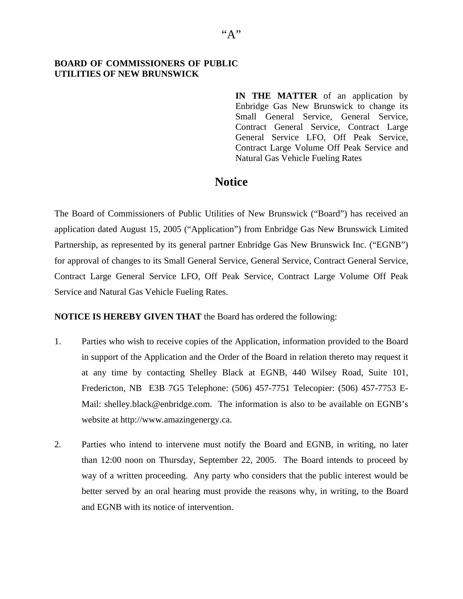## **BOARD OF COMMISSIONERS OF PUBLIC UTILITIES OF NEW BRUNSWICK**

**IN THE MATTER** of an application by Enbridge Gas New Brunswick to change its Small General Service, General Service, Contract General Service, Contract Large General Service LFO, Off Peak Service, Contract Large Volume Off Peak Service and Natural Gas Vehicle Fueling Rates

## **Notice**

The Board of Commissioners of Public Utilities of New Brunswick ("Board") has received an application dated August 15, 2005 ("Application") from Enbridge Gas New Brunswick Limited Partnership, as represented by its general partner Enbridge Gas New Brunswick Inc. ("EGNB") for approval of changes to its Small General Service, General Service, Contract General Service, Contract Large General Service LFO, Off Peak Service, Contract Large Volume Off Peak Service and Natural Gas Vehicle Fueling Rates.

## **NOTICE IS HEREBY GIVEN THAT** the Board has ordered the following:

- 1. Parties who wish to receive copies of the Application, information provided to the Board in support of the Application and the Order of the Board in relation thereto may request it at any time by contacting Shelley Black at EGNB, 440 Wilsey Road, Suite 101, Fredericton, NB E3B 7G5 Telephone: (506) 457-7751 Telecopier: (506) 457-7753 E-Mail: shelley.black@enbridge.com. The information is also to be available on EGNB's website at http://www.amazingenergy.ca.
- 2. Parties who intend to intervene must notify the Board and EGNB, in writing, no later than 12:00 noon on Thursday, September 22, 2005. The Board intends to proceed by way of a written proceeding. Any party who considers that the public interest would be better served by an oral hearing must provide the reasons why, in writing, to the Board and EGNB with its notice of intervention.